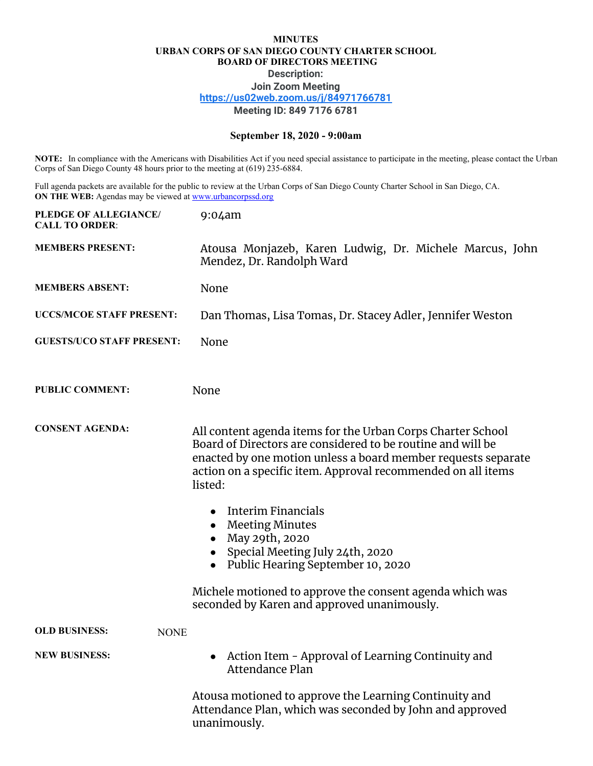## **MINUTES URBAN CORPS OF SAN DIEGO COUNTY CHARTER SCHOOL BOARD OF DIRECTORS MEETING Description: Join Zoom Meeting <https://us02web.zoom.us/j/84971766781> Meeting ID: 849 7176 6781**

## **September 18, 2020 - 9:00am**

**NOTE:** In compliance with the Americans with Disabilities Act if you need special assistance to participate in the meeting, please contact the Urban Corps of San Diego County 48 hours prior to the meeting at (619) 235-6884.

Full agenda packets are available for the public to review at the Urban Corps of San Diego County Charter School in San Diego, CA. **ON THE WEB:** Agendas may be viewed at [www.urbancorpssd.org](http://www.urbancorpssd.org/)

| PLEDGE OF ALLEGIANCE/<br><b>CALL TO ORDER:</b> | $9:04$ am                                                                                                                                                                                                                                                              |
|------------------------------------------------|------------------------------------------------------------------------------------------------------------------------------------------------------------------------------------------------------------------------------------------------------------------------|
| <b>MEMBERS PRESENT:</b>                        | Atousa Monjazeb, Karen Ludwig, Dr. Michele Marcus, John<br>Mendez, Dr. Randolph Ward                                                                                                                                                                                   |
| <b>MEMBERS ABSENT:</b>                         | None                                                                                                                                                                                                                                                                   |
| <b>UCCS/MCOE STAFF PRESENT:</b>                | Dan Thomas, Lisa Tomas, Dr. Stacey Adler, Jennifer Weston                                                                                                                                                                                                              |
| <b>GUESTS/UCO STAFF PRESENT:</b>               | None                                                                                                                                                                                                                                                                   |
| <b>PUBLIC COMMENT:</b>                         | None                                                                                                                                                                                                                                                                   |
| <b>CONSENT AGENDA:</b>                         | All content agenda items for the Urban Corps Charter School<br>Board of Directors are considered to be routine and will be<br>enacted by one motion unless a board member requests separate<br>action on a specific item. Approval recommended on all items<br>listed: |
|                                                | <b>Interim Financials</b><br>$\bullet$<br><b>Meeting Minutes</b><br>May 29th, 2020<br>Special Meeting July 24th, 2020<br>$\bullet$<br>Public Hearing September 10, 2020<br>$\bullet$                                                                                   |
|                                                | Michele motioned to approve the consent agenda which was<br>seconded by Karen and approved unanimously.                                                                                                                                                                |
| <b>OLD BUSINESS:</b><br><b>NONE</b>            |                                                                                                                                                                                                                                                                        |
| <b>NEW BUSINESS:</b>                           | Action Item - Approval of Learning Continuity and<br>Attendance Plan                                                                                                                                                                                                   |
|                                                | Atousa motioned to approve the Learning Continuity and<br>Attendance Plan, which was seconded by John and approved<br>unanimously.                                                                                                                                     |